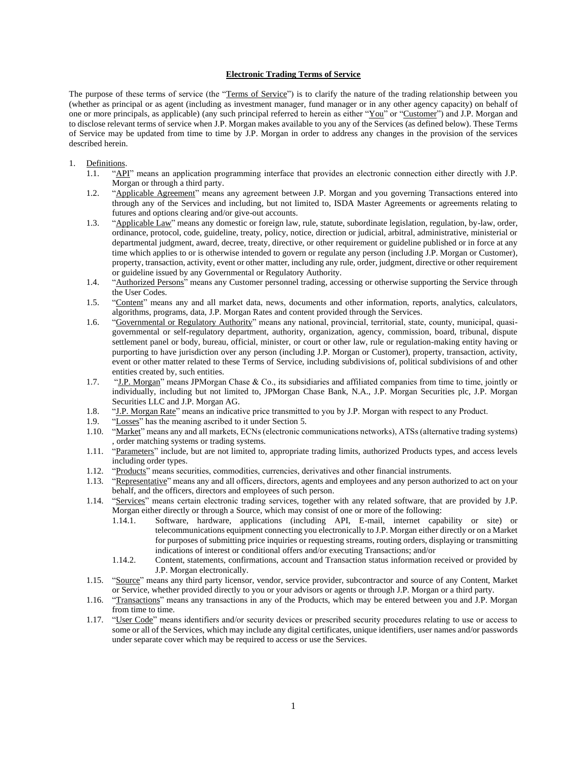#### **Electronic Trading Terms of Service**

The purpose of these terms of service (the "Terms of Service") is to clarify the nature of the trading relationship between you (whether as principal or as agent (including as investment manager, fund manager or in any other agency capacity) on behalf of one or more principals, as applicable) (any such principal referred to herein as either "You" or "Customer") and J.P. Morgan and to disclose relevant terms of service when J.P. Morgan makes available to you any of the Services (as defined below). These Terms of Service may be updated from time to time by J.P. Morgan in order to address any changes in the provision of the services described herein.

# 1. Definitions.<br>1.1. "API

- "API" means an application programming interface that provides an electronic connection either directly with J.P. Morgan or through a third party.
- 1.2. "Applicable Agreement" means any agreement between J.P. Morgan and you governing Transactions entered into through any of the Services and including, but not limited to, ISDA Master Agreements or agreements relating to futures and options clearing and/or give-out accounts.
- 1.3. "Applicable Law" means any domestic or foreign law, rule, statute, subordinate legislation, regulation, by-law, order, ordinance, protocol, code, guideline, treaty, policy, notice, direction or judicial, arbitral, administrative, ministerial or departmental judgment, award, decree, treaty, directive, or other requirement or guideline published or in force at any time which applies to or is otherwise intended to govern or regulate any person (including J.P. Morgan or Customer), property, transaction, activity, event or other matter, including any rule, order, judgment, directive or other requirement or guideline issued by any Governmental or Regulatory Authority.
- 1.4. "Authorized Persons" means any Customer personnel trading, accessing or otherwise supporting the Service through the User Codes.
- 1.5. "Content" means any and all market data, news, documents and other information, reports, analytics, calculators, algorithms, programs, data, J.P. Morgan Rates and content provided through the Services.
- 1.6. "Governmental or Regulatory Authority" means any national, provincial, territorial, state, county, municipal, quasigovernmental or self-regulatory department, authority, organization, agency, commission, board, tribunal, dispute settlement panel or body, bureau, official, minister, or court or other law, rule or regulation-making entity having or purporting to have jurisdiction over any person (including J.P. Morgan or Customer), property, transaction, activity, event or other matter related to these Terms of Service, including subdivisions of, political subdivisions of and other entities created by, such entities.
- 1.7. "J.P. Morgan" means JPMorgan Chase & Co., its subsidiaries and affiliated companies from time to time, jointly or individually, including but not limited to, JPMorgan Chase Bank, N.A., J.P. Morgan Securities plc, J.P. Morgan Securities LLC and J.P. Morgan AG.
- 1.8. "J.P. Morgan Rate" means an indicative price transmitted to you by J.P. Morgan with respect to any Product.
- 1.9. "Losses" has the meaning ascribed to it under Section [5.](#page-3-0)
- 1.10. "Market" means any and all markets, ECNs (electronic communications networks), ATSs (alternative trading systems) , order matching systems or trading systems.
- 1.11. "Parameters" include, but are not limited to, appropriate trading limits, authorized Products types, and access levels including order types.
- 1.12. "Products" means securities, commodities, currencies, derivatives and other financial instruments.
- 1.13. "Representative" means any and all officers, directors, agents and employees and any person authorized to act on your behalf, and the officers, directors and employees of such person.
- 1.14. "Services" means certain electronic trading services, together with any related software, that are provided by J.P. Morgan either directly or through a Source, which may consist of one or more of the following:
	- 1.14.1. Software, hardware, applications (including API, E-mail, internet capability or site) or telecommunications equipment connecting you electronically to J.P. Morgan either directly or on a Market for purposes of submitting price inquiries or requesting streams, routing orders, displaying or transmitting indications of interest or conditional offers and/or executing Transactions; and/or
	- 1.14.2. Content, statements, confirmations, account and Transaction status information received or provided by J.P. Morgan electronically.
- 1.15. "Source" means any third party licensor, vendor, service provider, subcontractor and source of any Content, Market or Service, whether provided directly to you or your advisors or agents or through J.P. Morgan or a third party.
- 1.16. "Transactions" means any transactions in any of the Products, which may be entered between you and J.P. Morgan from time to time.
- 1.17. "User Code" means identifiers and/or security devices or prescribed security procedures relating to use or access to some or all of the Services, which may include any digital certificates, unique identifiers, user names and/or passwords under separate cover which may be required to access or use the Services.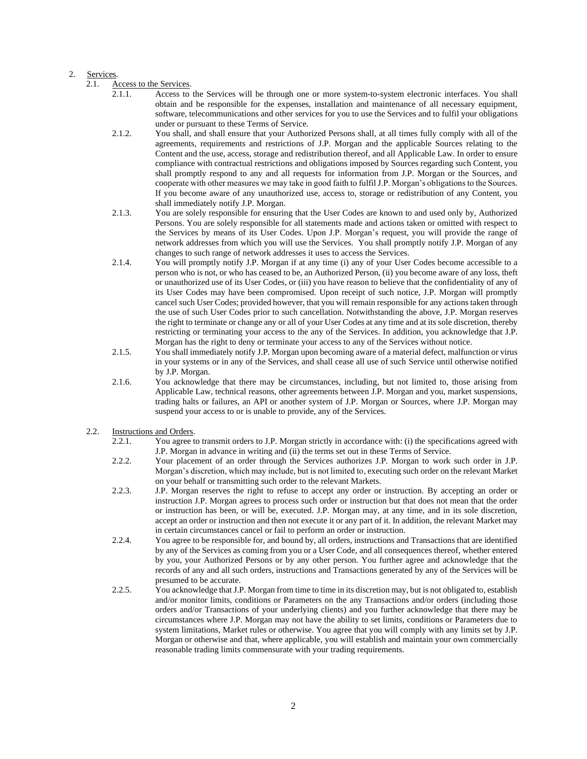### 2. Services.

- 2.1.1. Access to the Services will be through one or more system-to-system electronic interfaces. You shall obtain and be responsible for the expenses, installation and maintenance of all necessary equipment, software, telecommunications and other services for you to use the Services and to fulfil your obligations under or pursuant to these Terms of Service.
- 2.1.2. You shall, and shall ensure that your Authorized Persons shall, at all times fully comply with all of the agreements, requirements and restrictions of J.P. Morgan and the applicable Sources relating to the Content and the use, access, storage and redistribution thereof, and all Applicable Law. In order to ensure compliance with contractual restrictions and obligations imposed by Sources regarding such Content, you shall promptly respond to any and all requests for information from J.P. Morgan or the Sources, and cooperate with other measures we may take in good faith to fulfil J.P. Morgan's obligations to the Sources. If you become aware of any unauthorized use, access to, storage or redistribution of any Content, you shall immediately notify J.P. Morgan.
- 2.1.3. You are solely responsible for ensuring that the User Codes are known to and used only by, Authorized Persons. You are solely responsible for all statements made and actions taken or omitted with respect to the Services by means of its User Codes. Upon J.P. Morgan's request, you will provide the range of network addresses from which you will use the Services. You shall promptly notify J.P. Morgan of any changes to such range of network addresses it uses to access the Services.
- 2.1.4. You will promptly notify J.P. Morgan if at any time (i) any of your User Codes become accessible to a person who is not, or who has ceased to be, an Authorized Person, (ii) you become aware of any loss, theft or unauthorized use of its User Codes, or (iii) you have reason to believe that the confidentiality of any of its User Codes may have been compromised. Upon receipt of such notice, J.P. Morgan will promptly cancel such User Codes; provided however, that you will remain responsible for any actions taken through the use of such User Codes prior to such cancellation. Notwithstanding the above, J.P. Morgan reserves the right to terminate or change any or all of your User Codes at any time and at its sole discretion, thereby restricting or terminating your access to the any of the Services. In addition, you acknowledge that J.P. Morgan has the right to deny or terminate your access to any of the Services without notice.
- 2.1.5. You shall immediately notify J.P. Morgan upon becoming aware of a material defect, malfunction or virus in your systems or in any of the Services, and shall cease all use of such Service until otherwise notified by J.P. Morgan.
- 2.1.6. You acknowledge that there may be circumstances, including, but not limited to, those arising from Applicable Law, technical reasons, other agreements between J.P. Morgan and you, market suspensions, trading halts or failures, an API or another system of J.P. Morgan or Sources, where J.P. Morgan may suspend your access to or is unable to provide, any of the Services.

# 2.2. Instructions and Orders.

- 2.2.1. You agree to transmit orders to J.P. Morgan strictly in accordance with: (i) the specifications agreed with J.P. Morgan in advance in writing and (ii) the terms set out in these Terms of Service.
- 2.2.2. Your placement of an order through the Services authorizes J.P. Morgan to work such order in J.P. Morgan's discretion, which may include, but is not limited to, executing such order on the relevant Market on your behalf or transmitting such order to the relevant Markets.
- 2.2.3. J.P. Morgan reserves the right to refuse to accept any order or instruction. By accepting an order or instruction J.P. Morgan agrees to process such order or instruction but that does not mean that the order or instruction has been, or will be, executed. J.P. Morgan may, at any time, and in its sole discretion, accept an order or instruction and then not execute it or any part of it. In addition, the relevant Market may in certain circumstances cancel or fail to perform an order or instruction.
- 2.2.4. You agree to be responsible for, and bound by, all orders, instructions and Transactions that are identified by any of the Services as coming from you or a User Code, and all consequences thereof, whether entered by you, your Authorized Persons or by any other person. You further agree and acknowledge that the records of any and all such orders, instructions and Transactions generated by any of the Services will be presumed to be accurate.
- 2.2.5. You acknowledge that J.P. Morgan from time to time in its discretion may, but is not obligated to, establish and/or monitor limits, conditions or Parameters on the any Transactions and/or orders (including those orders and/or Transactions of your underlying clients) and you further acknowledge that there may be circumstances where J.P. Morgan may not have the ability to set limits, conditions or Parameters due to system limitations, Market rules or otherwise. You agree that you will comply with any limits set by J.P. Morgan or otherwise and that, where applicable, you will establish and maintain your own commercially reasonable trading limits commensurate with your trading requirements.

<sup>2.1.</sup> Access to the Services.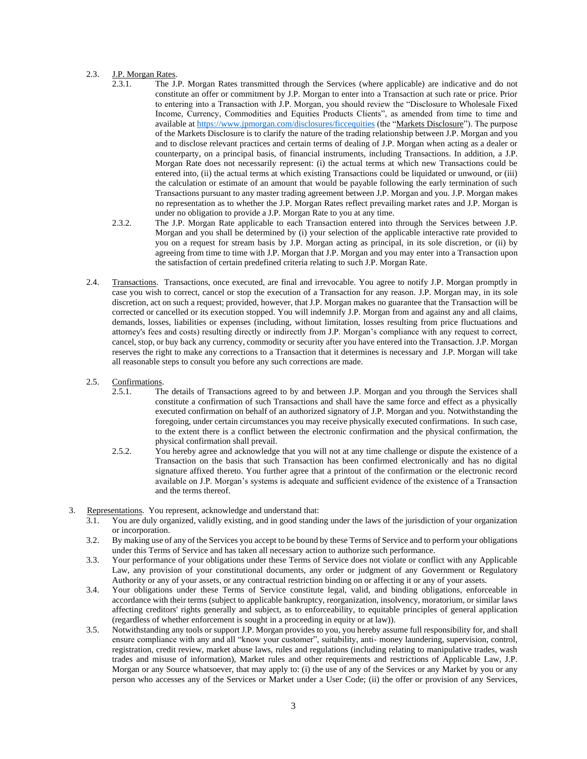## 2.3. J.P. Morgan Rates.

- 2.3.1. The J.P. Morgan Rates transmitted through the Services (where applicable) are indicative and do not constitute an offer or commitment by J.P. Morgan to enter into a Transaction at such rate or price. Prior to entering into a Transaction with J.P. Morgan, you should review the "Disclosure to Wholesale Fixed Income, Currency, Commodities and Equities Products Clients", as amended from time to time and available a[t https://www.jpmorgan.com/disclosures/ficcequities](https://www.jpmorgan.com/disclosures/ficcequities) (the "Markets Disclosure"). The purpose of the Markets Disclosure is to clarify the nature of the trading relationship between J.P. Morgan and you and to disclose relevant practices and certain terms of dealing of J.P. Morgan when acting as a dealer or counterparty, on a principal basis, of financial instruments, including Transactions. In addition, a J.P. Morgan Rate does not necessarily represent: (i) the actual terms at which new Transactions could be entered into, (ii) the actual terms at which existing Transactions could be liquidated or unwound, or (iii) the calculation or estimate of an amount that would be payable following the early termination of such Transactions pursuant to any master trading agreement between J.P. Morgan and you. J.P. Morgan makes no representation as to whether the J.P. Morgan Rates reflect prevailing market rates and J.P. Morgan is under no obligation to provide a J.P. Morgan Rate to you at any time.
- 2.3.2. The J.P. Morgan Rate applicable to each Transaction entered into through the Services between J.P. Morgan and you shall be determined by (i) your selection of the applicable interactive rate provided to you on a request for stream basis by J.P. Morgan acting as principal, in its sole discretion, or (ii) by agreeing from time to time with J.P. Morgan that J.P. Morgan and you may enter into a Transaction upon the satisfaction of certain predefined criteria relating to such J.P. Morgan Rate.
- 2.4. Transactions. Transactions, once executed, are final and irrevocable. You agree to notify J.P. Morgan promptly in case you wish to correct, cancel or stop the execution of a Transaction for any reason. J.P. Morgan may, in its sole discretion, act on such a request; provided, however, that J.P. Morgan makes no guarantee that the Transaction will be corrected or cancelled or its execution stopped. You will indemnify J.P. Morgan from and against any and all claims, demands, losses, liabilities or expenses (including, without limitation, losses resulting from price fluctuations and attorney's fees and costs) resulting directly or indirectly from J.P. Morgan's compliance with any request to correct, cancel, stop, or buy back any currency, commodity or security after you have entered into the Transaction. J.P. Morgan reserves the right to make any corrections to a Transaction that it determines is necessary and J.P. Morgan will take all reasonable steps to consult you before any such corrections are made.
- 2.5. Confirmations.
	- 2.5.1. The details of Transactions agreed to by and between J.P. Morgan and you through the Services shall constitute a confirmation of such Transactions and shall have the same force and effect as a physically executed confirmation on behalf of an authorized signatory of J.P. Morgan and you. Notwithstanding the foregoing, under certain circumstances you may receive physically executed confirmations. In such case, to the extent there is a conflict between the electronic confirmation and the physical confirmation, the physical confirmation shall prevail.
	- 2.5.2. You hereby agree and acknowledge that you will not at any time challenge or dispute the existence of a Transaction on the basis that such Transaction has been confirmed electronically and has no digital signature affixed thereto. You further agree that a printout of the confirmation or the electronic record available on J.P. Morgan's systems is adequate and sufficient evidence of the existence of a Transaction and the terms thereof.
- 3. Representations. You represent, acknowledge and understand that:
	- 3.1. You are duly organized, validly existing, and in good standing under the laws of the jurisdiction of your organization or incorporation.
	- 3.2. By making use of any of the Services you accept to be bound by these Terms of Service and to perform your obligations under this Terms of Service and has taken all necessary action to authorize such performance.
	- 3.3. Your performance of your obligations under these Terms of Service does not violate or conflict with any Applicable Law, any provision of your constitutional documents, any order or judgment of any Government or Regulatory Authority or any of your assets, or any contractual restriction binding on or affecting it or any of your assets.
	- 3.4. Your obligations under these Terms of Service constitute legal, valid, and binding obligations, enforceable in accordance with their terms (subject to applicable bankruptcy, reorganization, insolvency, moratorium, or similar laws affecting creditors' rights generally and subject, as to enforceability, to equitable principles of general application (regardless of whether enforcement is sought in a proceeding in equity or at law)).
	- 3.5. Notwithstanding any tools or support J.P. Morgan provides to you, you hereby assume full responsibility for, and shall ensure compliance with any and all "know your customer", suitability, anti- money laundering, supervision, control, registration, credit review, market abuse laws, rules and regulations (including relating to manipulative trades, wash trades and misuse of information), Market rules and other requirements and restrictions of Applicable Law, J.P. Morgan or any Source whatsoever, that may apply to: (i) the use of any of the Services or any Market by you or any person who accesses any of the Services or Market under a User Code; (ii) the offer or provision of any Services,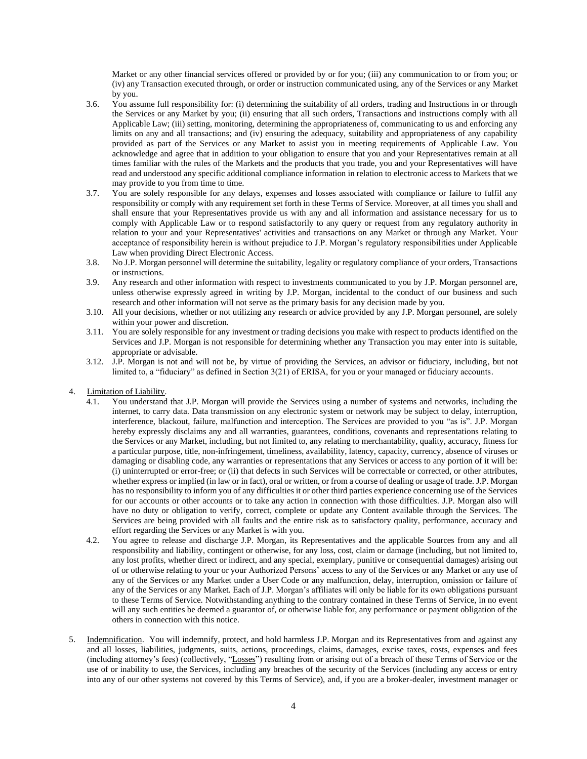Market or any other financial services offered or provided by or for you; (iii) any communication to or from you; or (iv) any Transaction executed through, or order or instruction communicated using, any of the Services or any Market by you.

- 3.6. You assume full responsibility for: (i) determining the suitability of all orders, trading and Instructions in or through the Services or any Market by you; (ii) ensuring that all such orders, Transactions and instructions comply with all Applicable Law; (iii) setting, monitoring, determining the appropriateness of, communicating to us and enforcing any limits on any and all transactions; and (iv) ensuring the adequacy, suitability and appropriateness of any capability provided as part of the Services or any Market to assist you in meeting requirements of Applicable Law. You acknowledge and agree that in addition to your obligation to ensure that you and your Representatives remain at all times familiar with the rules of the Markets and the products that you trade, you and your Representatives will have read and understood any specific additional compliance information in relation to electronic access to Markets that we may provide to you from time to time.
- 3.7. You are solely responsible for any delays, expenses and losses associated with compliance or failure to fulfil any responsibility or comply with any requirement set forth in these Terms of Service. Moreover, at all times you shall and shall ensure that your Representatives provide us with any and all information and assistance necessary for us to comply with Applicable Law or to respond satisfactorily to any query or request from any regulatory authority in relation to your and your Representatives' activities and transactions on any Market or through any Market. Your acceptance of responsibility herein is without prejudice to J.P. Morgan's regulatory responsibilities under Applicable Law when providing Direct Electronic Access.
- 3.8. No J.P. Morgan personnel will determine the suitability, legality or regulatory compliance of your orders, Transactions or instructions.
- 3.9. Any research and other information with respect to investments communicated to you by J.P. Morgan personnel are, unless otherwise expressly agreed in writing by J.P. Morgan, incidental to the conduct of our business and such research and other information will not serve as the primary basis for any decision made by you.
- 3.10. All your decisions, whether or not utilizing any research or advice provided by any J.P. Morgan personnel, are solely within your power and discretion.
- 3.11. You are solely responsible for any investment or trading decisions you make with respect to products identified on the Services and J.P. Morgan is not responsible for determining whether any Transaction you may enter into is suitable, appropriate or advisable.
- 3.12. J.P. Morgan is not and will not be, by virtue of providing the Services, an advisor or fiduciary, including, but not limited to, a "fiduciary" as defined in Section 3(21) of ERISA, for you or your managed or fiduciary accounts.
- 4. Limitation of Liability.
	- 4.1. You understand that J.P. Morgan will provide the Services using a number of systems and networks, including the internet, to carry data. Data transmission on any electronic system or network may be subject to delay, interruption, interference, blackout, failure, malfunction and interception. The Services are provided to you "as is". J.P. Morgan hereby expressly disclaims any and all warranties, guarantees, conditions, covenants and representations relating to the Services or any Market, including, but not limited to, any relating to merchantability, quality, accuracy, fitness for a particular purpose, title, non-infringement, timeliness, availability, latency, capacity, currency, absence of viruses or damaging or disabling code, any warranties or representations that any Services or access to any portion of it will be: (i) uninterrupted or error-free; or (ii) that defects in such Services will be correctable or corrected, or other attributes, whether express or implied (in law or in fact), oral or written, or from a course of dealing or usage of trade. J.P. Morgan has no responsibility to inform you of any difficulties it or other third parties experience concerning use of the Services for our accounts or other accounts or to take any action in connection with those difficulties. J.P. Morgan also will have no duty or obligation to verify, correct, complete or update any Content available through the Services. The Services are being provided with all faults and the entire risk as to satisfactory quality, performance, accuracy and effort regarding the Services or any Market is with you.
	- 4.2. You agree to release and discharge J.P. Morgan, its Representatives and the applicable Sources from any and all responsibility and liability, contingent or otherwise, for any loss, cost, claim or damage (including, but not limited to, any lost profits, whether direct or indirect, and any special, exemplary, punitive or consequential damages) arising out of or otherwise relating to your or your Authorized Persons' access to any of the Services or any Market or any use of any of the Services or any Market under a User Code or any malfunction, delay, interruption, omission or failure of any of the Services or any Market. Each of J.P. Morgan's affiliates will only be liable for its own obligations pursuant to these Terms of Service. Notwithstanding anything to the contrary contained in these Terms of Service, in no event will any such entities be deemed a guarantor of, or otherwise liable for, any performance or payment obligation of the others in connection with this notice.
- <span id="page-3-0"></span>5. Indemnification. You will indemnify, protect, and hold harmless J.P. Morgan and its Representatives from and against any and all losses, liabilities, judgments, suits, actions, proceedings, claims, damages, excise taxes, costs, expenses and fees (including attorney's fees) (collectively, "Losses") resulting from or arising out of a breach of these Terms of Service or the use of or inability to use, the Services, including any breaches of the security of the Services (including any access or entry into any of our other systems not covered by this Terms of Service), and, if you are a broker-dealer, investment manager or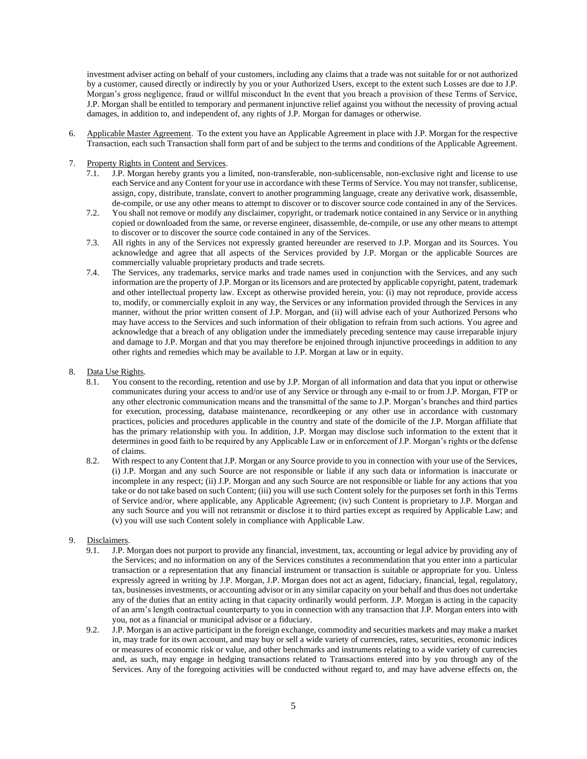investment adviser acting on behalf of your customers, including any claims that a trade was not suitable for or not authorized by a customer, caused directly or indirectly by you or your Authorized Users, except to the extent such Losses are due to J.P. Morgan's gross negligence, fraud or willful misconduct In the event that you breach a provision of these Terms of Service, J.P. Morgan shall be entitled to temporary and permanent injunctive relief against you without the necessity of proving actual damages, in addition to, and independent of, any rights of J.P. Morgan for damages or otherwise.

- 6. Applicable Master Agreement. To the extent you have an Applicable Agreement in place with J.P. Morgan for the respective Transaction, each such Transaction shall form part of and be subject to the terms and conditions of the Applicable Agreement.
- 7. Property Rights in Content and Services.
	- 7.1. J.P. Morgan hereby grants you a limited, non-transferable, non-sublicensable, non-exclusive right and license to use each Service and any Content for your use in accordance with these Terms of Service. You may not transfer, sublicense, assign, copy, distribute, translate, convert to another programming language, create any derivative work, disassemble, de-compile, or use any other means to attempt to discover or to discover source code contained in any of the Services.
	- 7.2. You shall not remove or modify any disclaimer, copyright, or trademark notice contained in any Service or in anything copied or downloaded from the same, or reverse engineer, disassemble, de-compile, or use any other means to attempt to discover or to discover the source code contained in any of the Services.
	- 7.3. All rights in any of the Services not expressly granted hereunder are reserved to J.P. Morgan and its Sources. You acknowledge and agree that all aspects of the Services provided by J.P. Morgan or the applicable Sources are commercially valuable proprietary products and trade secrets.
	- 7.4. The Services, any trademarks, service marks and trade names used in conjunction with the Services, and any such information are the property of J.P. Morgan or its licensors and are protected by applicable copyright, patent, trademark and other intellectual property law. Except as otherwise provided herein, you: (i) may not reproduce, provide access to, modify, or commercially exploit in any way, the Services or any information provided through the Services in any manner, without the prior written consent of J.P. Morgan, and (ii) will advise each of your Authorized Persons who may have access to the Services and such information of their obligation to refrain from such actions. You agree and acknowledge that a breach of any obligation under the immediately preceding sentence may cause irreparable injury and damage to J.P. Morgan and that you may therefore be enjoined through injunctive proceedings in addition to any other rights and remedies which may be available to J.P. Morgan at law or in equity.

### 8. Data Use Rights.

- 8.1. You consent to the recording, retention and use by J.P. Morgan of all information and data that you input or otherwise communicates during your access to and/or use of any Service or through any e-mail to or from J.P. Morgan, FTP or any other electronic communication means and the transmittal of the same to J.P. Morgan's branches and third parties for execution, processing, database maintenance, recordkeeping or any other use in accordance with customary practices, policies and procedures applicable in the country and state of the domicile of the J.P. Morgan affiliate that has the primary relationship with you. In addition, J.P. Morgan may disclose such information to the extent that it determines in good faith to be required by any Applicable Law or in enforcement of J.P. Morgan's rights or the defense of claims.
- 8.2. With respect to any Content that J.P. Morgan or any Source provide to you in connection with your use of the Services, (i) J.P. Morgan and any such Source are not responsible or liable if any such data or information is inaccurate or incomplete in any respect; (ii) J.P. Morgan and any such Source are not responsible or liable for any actions that you take or do not take based on such Content; (iii) you will use such Content solely for the purposes set forth in this Terms of Service and/or, where applicable, any Applicable Agreement; (iv) such Content is proprietary to J.P. Morgan and any such Source and you will not retransmit or disclose it to third parties except as required by Applicable Law; and (v) you will use such Content solely in compliance with Applicable Law.

# 9. Disclaimers.

- 9.1. J.P. Morgan does not purport to provide any financial, investment, tax, accounting or legal advice by providing any of the Services; and no information on any of the Services constitutes a recommendation that you enter into a particular transaction or a representation that any financial instrument or transaction is suitable or appropriate for you. Unless expressly agreed in writing by J.P. Morgan, J.P. Morgan does not act as agent, fiduciary, financial, legal, regulatory, tax, businesses investments, or accounting advisor or in any similar capacity on your behalf and thus does not undertake any of the duties that an entity acting in that capacity ordinarily would perform. J.P. Morgan is acting in the capacity of an arm's length contractual counterparty to you in connection with any transaction that J.P. Morgan enters into with you, not as a financial or municipal advisor or a fiduciary.
- 9.2. J.P. Morgan is an active participant in the foreign exchange, commodity and securities markets and may make a market in, may trade for its own account, and may buy or sell a wide variety of currencies, rates, securities, economic indices or measures of economic risk or value, and other benchmarks and instruments relating to a wide variety of currencies and, as such, may engage in hedging transactions related to Transactions entered into by you through any of the Services. Any of the foregoing activities will be conducted without regard to, and may have adverse effects on, the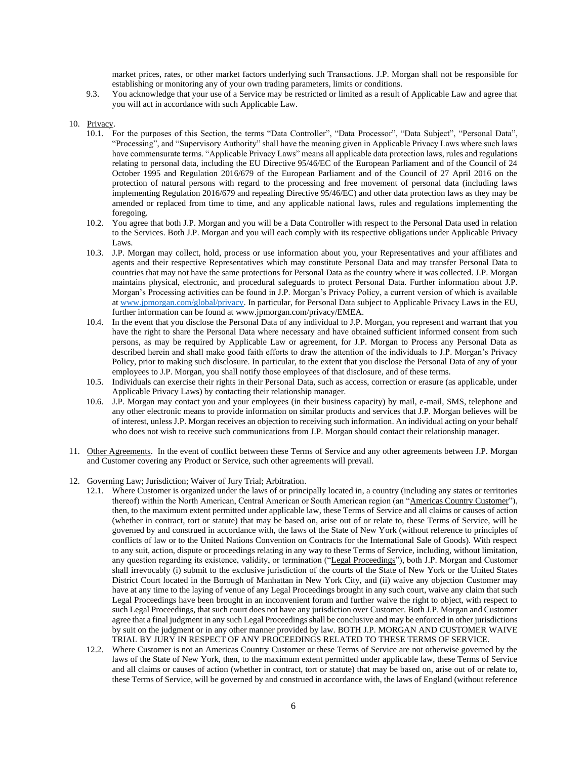market prices, rates, or other market factors underlying such Transactions. J.P. Morgan shall not be responsible for establishing or monitoring any of your own trading parameters, limits or conditions.

9.3. You acknowledge that your use of a Service may be restricted or limited as a result of Applicable Law and agree that you will act in accordance with such Applicable Law.

#### 10. Privacy.

- 10.1. For the purposes of this Section, the terms "Data Controller", "Data Processor", "Data Subject", "Personal Data", "Processing", and "Supervisory Authority" shall have the meaning given in Applicable Privacy Laws where such laws have commensurate terms. "Applicable Privacy Laws" means all applicable data protection laws, rules and regulations relating to personal data, including the EU Directive 95/46/EC of the European Parliament and of the Council of 24 October 1995 and Regulation 2016/679 of the European Parliament and of the Council of 27 April 2016 on the protection of natural persons with regard to the processing and free movement of personal data (including laws implementing Regulation 2016/679 and repealing Directive 95/46/EC) and other data protection laws as they may be amended or replaced from time to time, and any applicable national laws, rules and regulations implementing the foregoing.
- 10.2. You agree that both J.P. Morgan and you will be a Data Controller with respect to the Personal Data used in relation to the Services. Both J.P. Morgan and you will each comply with its respective obligations under Applicable Privacy Laws.
- 10.3. J.P. Morgan may collect, hold, process or use information about you, your Representatives and your affiliates and agents and their respective Representatives which may constitute Personal Data and may transfer Personal Data to countries that may not have the same protections for Personal Data as the country where it was collected. J.P. Morgan maintains physical, electronic, and procedural safeguards to protect Personal Data. Further information about J.P. Morgan's Processing activities can be found in J.P. Morgan's Privacy Policy, a current version of which is available at [www.jpmorgan.com/global/privacy.](http://www.jpmorgan.com/global/privacyn) In particular, for Personal Data subject to Applicable Privacy Laws in the EU, further information can be found at [www.jpmorgan.com/privacy/EMEA.](http://www.jpmorgan.com/privacy/EMEA)
- 10.4. In the event that you disclose the Personal Data of any individual to J.P. Morgan, you represent and warrant that you have the right to share the Personal Data where necessary and have obtained sufficient informed consent from such persons, as may be required by Applicable Law or agreement, for J.P. Morgan to Process any Personal Data as described herein and shall make good faith efforts to draw the attention of the individuals to J.P. Morgan's Privacy Policy, prior to making such disclosure. In particular, to the extent that you disclose the Personal Data of any of your employees to J.P. Morgan, you shall notify those employees of that disclosure, and of these terms.
- 10.5. Individuals can exercise their rights in their Personal Data, such as access, correction or erasure (as applicable, under Applicable Privacy Laws) by contacting their relationship manager.
- 10.6. J.P. Morgan may contact you and your employees (in their business capacity) by mail, e-mail, SMS, telephone and any other electronic means to provide information on similar products and services that J.P. Morgan believes will be of interest, unless J.P. Morgan receives an objection to receiving such information. An individual acting on your behalf who does not wish to receive such communications from J.P. Morgan should contact their relationship manager.
- 11. Other Agreements. In the event of conflict between these Terms of Service and any other agreements between J.P. Morgan and Customer covering any Product or Service, such other agreements will prevail.
- 12. Governing Law; Jurisdiction; Waiver of Jury Trial; Arbitration.
	- 12.1. Where Customer is organized under the laws of or principally located in, a country (including any states or territories thereof) within the North American, Central American or South American region (an "Americas Country Customer"), then, to the maximum extent permitted under applicable law, these Terms of Service and all claims or causes of action (whether in contract, tort or statute) that may be based on, arise out of or relate to, these Terms of Service, will be governed by and construed in accordance with, the laws of the State of New York (without reference to principles of conflicts of law or to the United Nations Convention on Contracts for the International Sale of Goods). With respect to any suit, action, dispute or proceedings relating in any way to these Terms of Service, including, without limitation, any question regarding its existence, validity, or termination ("Legal Proceedings"), both J.P. Morgan and Customer shall irrevocably (i) submit to the exclusive jurisdiction of the courts of the State of New York or the United States District Court located in the Borough of Manhattan in New York City, and (ii) waive any objection Customer may have at any time to the laying of venue of any Legal Proceedings brought in any such court, waive any claim that such Legal Proceedings have been brought in an inconvenient forum and further waive the right to object, with respect to such Legal Proceedings, that such court does not have any jurisdiction over Customer. Both J.P. Morgan and Customer agree that a final judgment in any such Legal Proceedings shall be conclusive and may be enforced in other jurisdictions by suit on the judgment or in any other manner provided by law. BOTH J.P. MORGAN AND CUSTOMER WAIVE TRIAL BY JURY IN RESPECT OF ANY PROCEEDINGS RELATED TO THESE TERMS OF SERVICE.
	- 12.2. Where Customer is not an Americas Country Customer or these Terms of Service are not otherwise governed by the laws of the State of New York, then, to the maximum extent permitted under applicable law, these Terms of Service and all claims or causes of action (whether in contract, tort or statute) that may be based on, arise out of or relate to, these Terms of Service, will be governed by and construed in accordance with, the laws of England (without reference